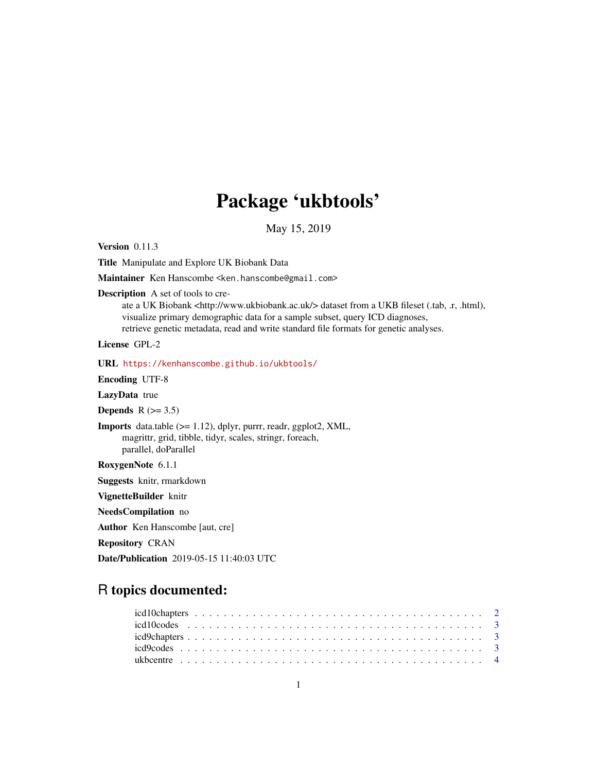# Package 'ukbtools'

May 15, 2019

Version 0.11.3

Title Manipulate and Explore UK Biobank Data

Maintainer Ken Hanscombe <ken.hanscombe@gmail.com>

Description A set of tools to cre-

ate a UK Biobank <http://www.ukbiobank.ac.uk/> dataset from a UKB fileset (.tab, .r, .html), visualize primary demographic data for a sample subset, query ICD diagnoses, retrieve genetic metadata, read and write standard file formats for genetic analyses.

License GPL-2

URL <https://kenhanscombe.github.io/ukbtools/>

Encoding UTF-8

LazyData true

Depends  $R$  ( $>= 3.5$ )

Imports data.table (>= 1.12), dplyr, purrr, readr, ggplot2, XML, magrittr, grid, tibble, tidyr, scales, stringr, foreach, parallel, doParallel

RoxygenNote 6.1.1

Suggests knitr, rmarkdown

VignetteBuilder knitr

NeedsCompilation no

Author Ken Hanscombe [aut, cre]

Repository CRAN

Date/Publication 2019-05-15 11:40:03 UTC

# R topics documented: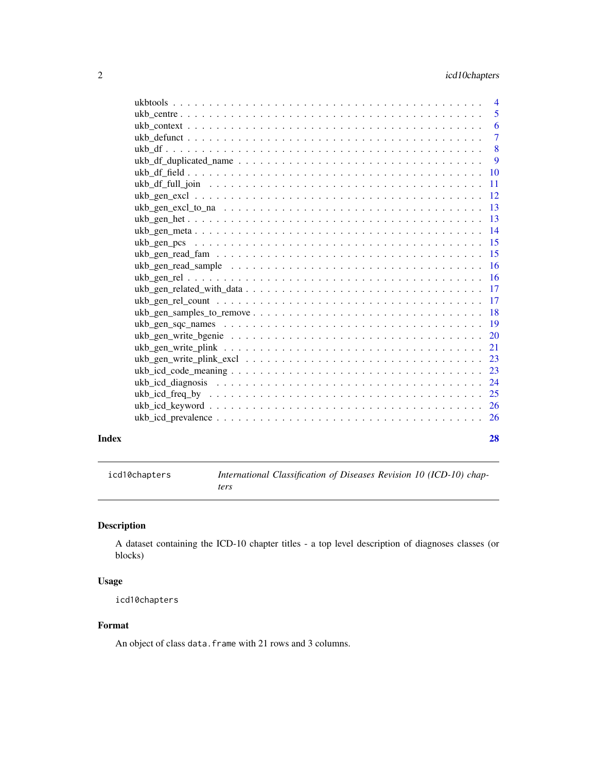<span id="page-1-0"></span>

| Index | 28 |
|-------|----|

<span id="page-1-1"></span>icd10chapters *International Classification of Diseases Revision 10 (ICD-10) chapters*

# Description

A dataset containing the ICD-10 chapter titles - a top level description of diagnoses classes (or blocks)

# Usage

icd10chapters

# Format

An object of class data. frame with 21 rows and 3 columns.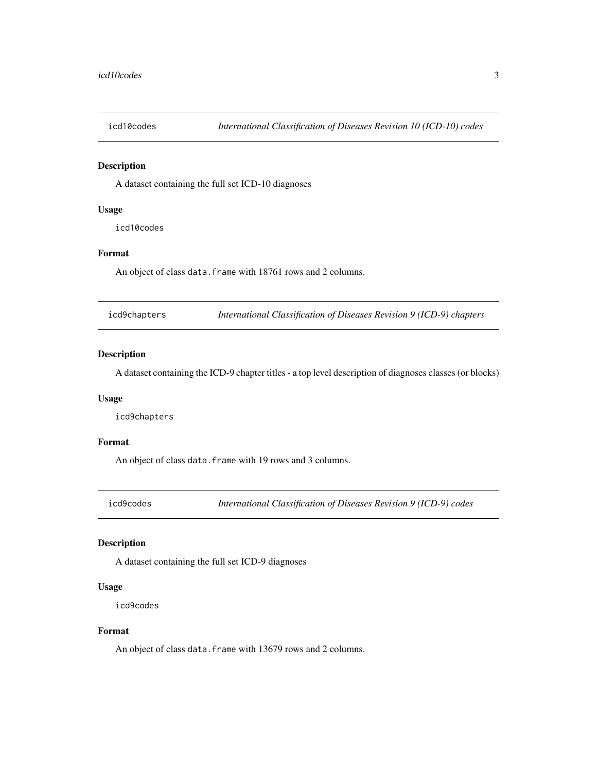<span id="page-2-1"></span><span id="page-2-0"></span>

A dataset containing the full set ICD-10 diagnoses

# Usage

icd10codes

# Format

An object of class data. frame with 18761 rows and 2 columns.

<span id="page-2-2"></span>icd9chapters *International Classification of Diseases Revision 9 (ICD-9) chapters*

# Description

A dataset containing the ICD-9 chapter titles - a top level description of diagnoses classes (or blocks)

# Usage

icd9chapters

#### Format

An object of class data. frame with 19 rows and 3 columns.

<span id="page-2-3"></span>icd9codes *International Classification of Diseases Revision 9 (ICD-9) codes*

## Description

A dataset containing the full set ICD-9 diagnoses

#### Usage

icd9codes

#### Format

An object of class data. frame with 13679 rows and 2 columns.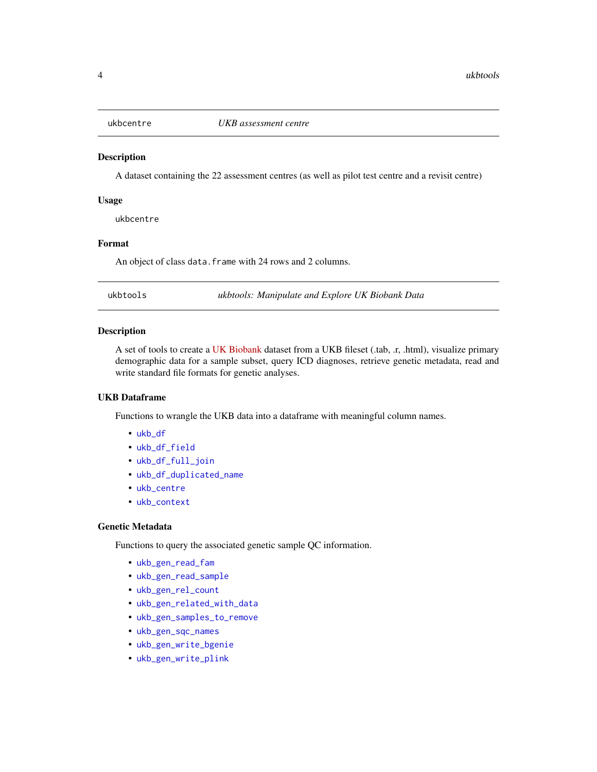<span id="page-3-1"></span><span id="page-3-0"></span>

A dataset containing the 22 assessment centres (as well as pilot test centre and a revisit centre)

#### Usage

ukbcentre

#### Format

An object of class data. frame with 24 rows and 2 columns.

ukbtools *ukbtools: Manipulate and Explore UK Biobank Data*

#### Description

A set of tools to create a [UK Biobank](https://www.ukbiobank.ac.uk/) dataset from a UKB fileset (.tab, .r, .html), visualize primary demographic data for a sample subset, query ICD diagnoses, retrieve genetic metadata, read and write standard file formats for genetic analyses.

# UKB Dataframe

Functions to wrangle the UKB data into a dataframe with meaningful column names.

- [ukb\\_df](#page-7-1)
- [ukb\\_df\\_field](#page-9-1)
- [ukb\\_df\\_full\\_join](#page-10-1)
- [ukb\\_df\\_duplicated\\_name](#page-8-1)
- [ukb\\_centre](#page-4-1)
- [ukb\\_context](#page-5-1)

#### Genetic Metadata

Functions to query the associated genetic sample QC information.

- [ukb\\_gen\\_read\\_fam](#page-14-1)
- [ukb\\_gen\\_read\\_sample](#page-15-1)
- [ukb\\_gen\\_rel\\_count](#page-16-1)
- [ukb\\_gen\\_related\\_with\\_data](#page-16-2)
- [ukb\\_gen\\_samples\\_to\\_remove](#page-17-1)
- [ukb\\_gen\\_sqc\\_names](#page-18-1)
- [ukb\\_gen\\_write\\_bgenie](#page-19-1)
- [ukb\\_gen\\_write\\_plink](#page-20-1)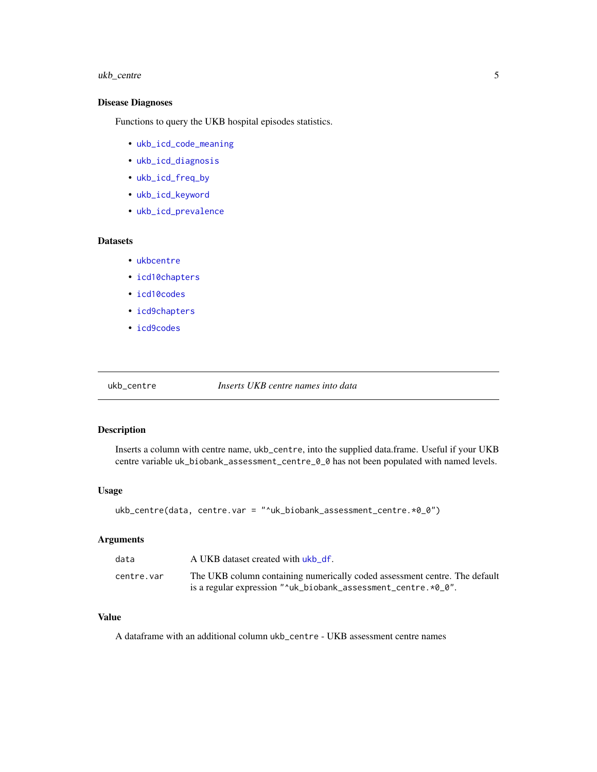# <span id="page-4-0"></span>ukb\_centre 5

# Disease Diagnoses

Functions to query the UKB hospital episodes statistics.

- [ukb\\_icd\\_code\\_meaning](#page-22-1)
- [ukb\\_icd\\_diagnosis](#page-23-1)
- [ukb\\_icd\\_freq\\_by](#page-24-1)
- [ukb\\_icd\\_keyword](#page-25-1)
- [ukb\\_icd\\_prevalence](#page-25-2)

# **Datasets**

- [ukbcentre](#page-3-1)
- [icd10chapters](#page-1-1)
- [icd10codes](#page-2-1)
- [icd9chapters](#page-2-2)
- [icd9codes](#page-2-3)

<span id="page-4-1"></span>ukb\_centre *Inserts UKB centre names into data*

#### Description

Inserts a column with centre name, ukb\_centre, into the supplied data.frame. Useful if your UKB centre variable uk\_biobank\_assessment\_centre\_0\_0 has not been populated with named levels.

#### Usage

ukb\_centre(data, centre.var = "^uk\_biobank\_assessment\_centre.\*0\_0")

# Arguments

| data       | A UKB dataset created with ukb df.                                                                                                                                 |
|------------|--------------------------------------------------------------------------------------------------------------------------------------------------------------------|
| centre.var | The UKB column containing numerically coded assessment centre. The default<br>is a regular expression " $\text{u}$ -uk_biobank_assessment_centre. $\text{*0}_0$ ". |

# Value

A dataframe with an additional column ukb\_centre - UKB assessment centre names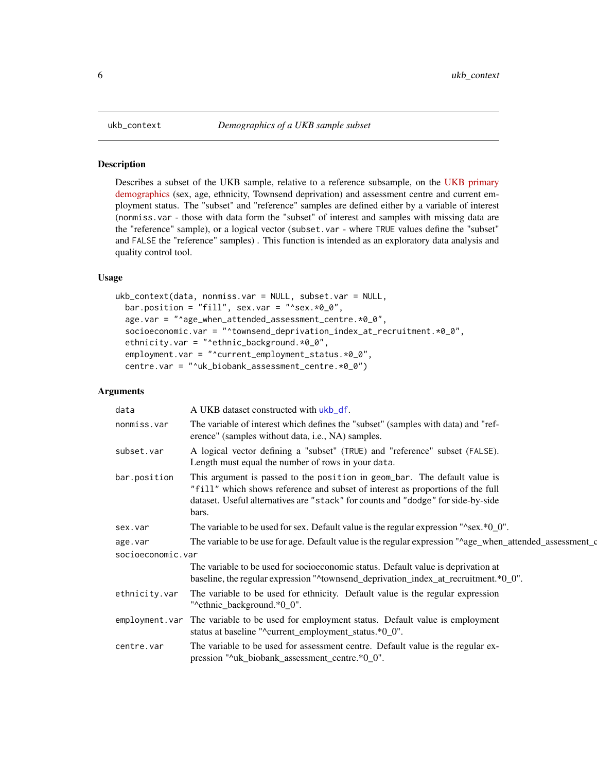Describes a subset of the UKB sample, relative to a reference subsample, on the [UKB primary](http://biobank.ctsu.ox.ac.uk/crystal/label.cgi?id=1001) [demographics](http://biobank.ctsu.ox.ac.uk/crystal/label.cgi?id=1001) (sex, age, ethnicity, Townsend deprivation) and assessment centre and current employment status. The "subset" and "reference" samples are defined either by a variable of interest (nonmiss.var - those with data form the "subset" of interest and samples with missing data are the "reference" sample), or a logical vector (subset.var - where TRUE values define the "subset" and FALSE the "reference" samples) . This function is intended as an exploratory data analysis and quality control tool.

# Usage

```
ukb_context(data, nonmiss.var = NULL, subset.var = NULL,
  bar.position = "fill", sex.var = "^sex.*0_0",
  age.var = "^age_when_attended_assessment_centre.*0_0",
  socioeconomic.var = "^townsend_deprivation_index_at_recruitment.*0_0",
  ethnicity.var = "^ethnic_background.*0_0",
  employment.var = "^current_employment_status.*0_0",
  centre.var = "^uk_biobank_assessment_centre.*0_0")
```
# Arguments

| data                         | A UKB dataset constructed with ukb_df.                                                                                                                                                                                                                   |
|------------------------------|----------------------------------------------------------------------------------------------------------------------------------------------------------------------------------------------------------------------------------------------------------|
| nonmiss.var                  | The variable of interest which defines the "subset" (samples with data) and "ref-<br>erence" (samples without data, i.e., NA) samples.                                                                                                                   |
| subset.var                   | A logical vector defining a "subset" (TRUE) and "reference" subset (FALSE).<br>Length must equal the number of rows in your data.                                                                                                                        |
| bar.position                 | This argument is passed to the position in geom_bar. The default value is<br>"fill" which shows reference and subset of interest as proportions of the full<br>dataset. Useful alternatives are "stack" for counts and "dodge" for side-by-side<br>bars. |
| sex.var                      | The variable to be used for sex. Default value is the regular expression " $\text{``sex.*}0_0$ ".                                                                                                                                                        |
| age.var<br>socioeconomic.var | The variable to be use for age. Default value is the regular expression "^age_when_attended_assessment_d                                                                                                                                                 |
|                              | The variable to be used for socioeconomic status. Default value is deprivation at<br>baseline, the regular expression "^townsend_deprivation_index_at_recruitment.*0_0".                                                                                 |
| ethnicity.var                | The variable to be used for ethnicity. Default value is the regular expression<br>"^ethnic background.*0 0".                                                                                                                                             |
| employment.var               | The variable to be used for employment status. Default value is employment<br>status at baseline "^current_employment_status.*0_0".                                                                                                                      |
| centre.var                   | The variable to be used for assessment centre. Default value is the regular ex-<br>pression "^uk_biobank_assessment_centre.*0_0".                                                                                                                        |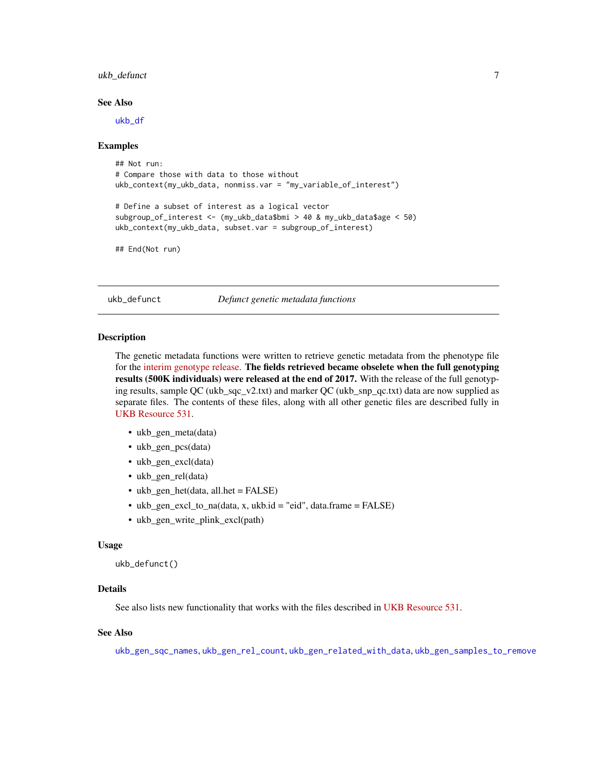# <span id="page-6-0"></span>ukb\_defunct 7

#### See Also

[ukb\\_df](#page-7-1)

#### Examples

```
## Not run:
# Compare those with data to those without
ukb_context(my_ukb_data, nonmiss.var = "my_variable_of_interest")
# Define a subset of interest as a logical vector
subgroup_of_interest <- (my_ukb_data$bmi > 40 & my_ukb_data$age < 50)
ukb_context(my_ukb_data, subset.var = subgroup_of_interest)
```
## End(Not run)

ukb\_defunct *Defunct genetic metadata functions*

#### Description

The genetic metadata functions were written to retrieve genetic metadata from the phenotype file for the [interim genotype release.](http://biobank.ctsu.ox.ac.uk/crystal/label.cgi?id=199001) The fields retrieved became obselete when the full genotyping results (500K individuals) were released at the end of 2017. With the release of the full genotyping results, sample QC (ukb\_sqc\_v2.txt) and marker QC (ukb\_snp\_qc.txt) data are now supplied as separate files. The contents of these files, along with all other genetic files are described fully in [UKB Resource 531.](https://biobank.ctsu.ox.ac.uk/crystal/refer.cgi?id=531)

- ukb\_gen\_meta(data)
- ukb gen pcs(data)
- ukb\_gen\_excl(data)
- ukb\_gen\_rel(data)
- ukb\_gen\_het(data, all.het = FALSE)
- ukb\_gen\_excl\_to\_na(data, x, ukb.id = "eid", data.frame = FALSE)
- ukb\_gen\_write\_plink\_excl(path)

#### Usage

ukb\_defunct()

#### Details

See also lists new functionality that works with the files described in [UKB Resource 531.](https://biobank.ctsu.ox.ac.uk/crystal/refer.cgi?id=531)

#### See Also

[ukb\\_gen\\_sqc\\_names](#page-18-1), [ukb\\_gen\\_rel\\_count](#page-16-1), [ukb\\_gen\\_related\\_with\\_data](#page-16-2), [ukb\\_gen\\_samples\\_to\\_remove](#page-17-1)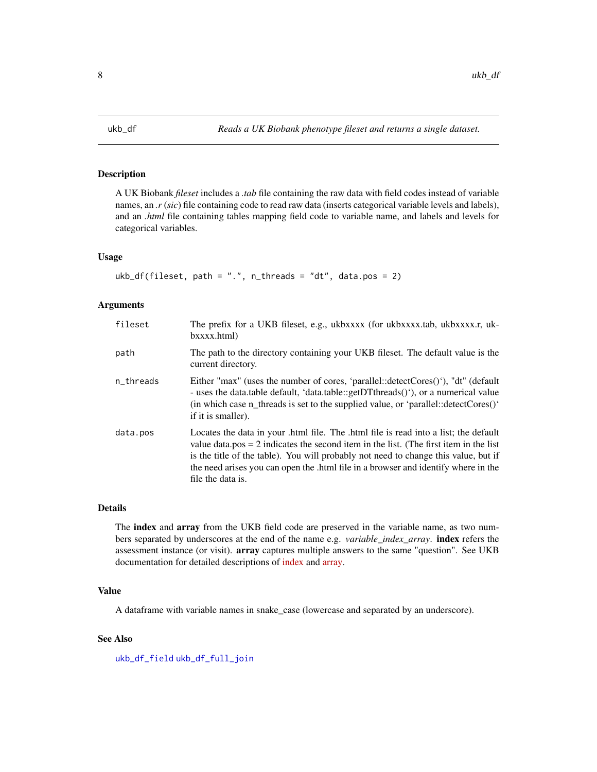<span id="page-7-1"></span><span id="page-7-0"></span>

A UK Biobank *fileset* includes a *.tab* file containing the raw data with field codes instead of variable names, an *.r* (*sic*) file containing code to read raw data (inserts categorical variable levels and labels), and an *.html* file containing tables mapping field code to variable name, and labels and levels for categorical variables.

# Usage

```
ukb_df(fileset, path = ".", n_threads = "dt", data.pos = 2)
```
#### Arguments

| fileset   | The prefix for a UKB fileset, e.g., ukbxxxx (for ukbxxxx.tab, ukbxxxx.r, uk-<br>bxxxx.html)                                                                                                                                                                                                                                                                                       |
|-----------|-----------------------------------------------------------------------------------------------------------------------------------------------------------------------------------------------------------------------------------------------------------------------------------------------------------------------------------------------------------------------------------|
| path      | The path to the directory containing your UKB fileset. The default value is the<br>current directory.                                                                                                                                                                                                                                                                             |
| n_threads | Either "max" (uses the number of cores, 'parallel::detectCores()'), "dt" (default<br>- uses the data.table default, 'data.table::getDTthreads()'), or a numerical value<br>(in which case $n_{\text{inter}}$ threads is set to the supplied value, or 'parallel::detectCores()'<br>if it is smaller).                                                                             |
| data.pos  | Locates the data in your .html file. The .html file is read into a list; the default<br>value data.pos $= 2$ indicates the second item in the list. (The first item in the list<br>is the title of the table). You will probably not need to change this value, but if<br>the need arises you can open the .html file in a browser and identify where in the<br>file the data is. |

#### Details

The index and array from the UKB field code are preserved in the variable name, as two numbers separated by underscores at the end of the name e.g. *variable\_index\_array*. index refers the assessment instance (or visit). array captures multiple answers to the same "question". See UKB documentation for detailed descriptions of [index](http://biobank.ctsu.ox.ac.uk/crystal/instance.cgi?id=2) and [array.](http://biobank.ctsu.ox.ac.uk/crystal/help.cgi?cd=array)

## Value

A dataframe with variable names in snake\_case (lowercase and separated by an underscore).

# See Also

[ukb\\_df\\_field](#page-9-1) [ukb\\_df\\_full\\_join](#page-10-1)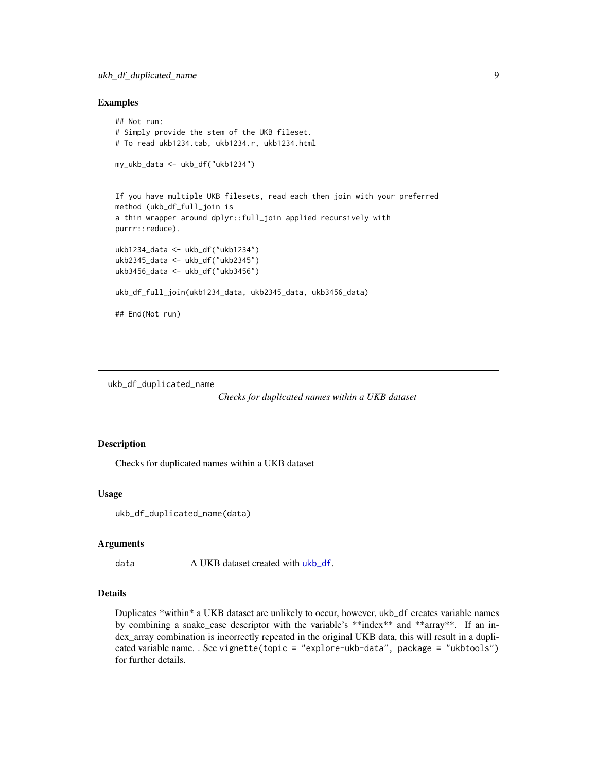# <span id="page-8-0"></span>ukb\_df\_duplicated\_name 9

#### Examples

```
## Not run:
# Simply provide the stem of the UKB fileset.
# To read ukb1234.tab, ukb1234.r, ukb1234.html
my_ukb_data <- ukb_df("ukb1234")
If you have multiple UKB filesets, read each then join with your preferred
method (ukb_df_full_join is
a thin wrapper around dplyr::full_join applied recursively with
purrr::reduce).
ukb1234_data <- ukb_df("ukb1234")
ukb2345_data <- ukb_df("ukb2345")
ukb3456_data <- ukb_df("ukb3456")
ukb_df_full_join(ukb1234_data, ukb2345_data, ukb3456_data)
## End(Not run)
```
<span id="page-8-1"></span>ukb\_df\_duplicated\_name

*Checks for duplicated names within a UKB dataset*

#### Description

Checks for duplicated names within a UKB dataset

#### Usage

ukb\_df\_duplicated\_name(data)

# Arguments

data A UKB dataset created with [ukb\\_df](#page-7-1).

#### Details

Duplicates \*within\* a UKB dataset are unlikely to occur, however, ukb\_df creates variable names by combining a snake\_case descriptor with the variable's \*\*index\*\* and \*\*array\*\*. If an index\_array combination is incorrectly repeated in the original UKB data, this will result in a duplicated variable name. . See vignette(topic = "explore-ukb-data", package = "ukbtools") for further details.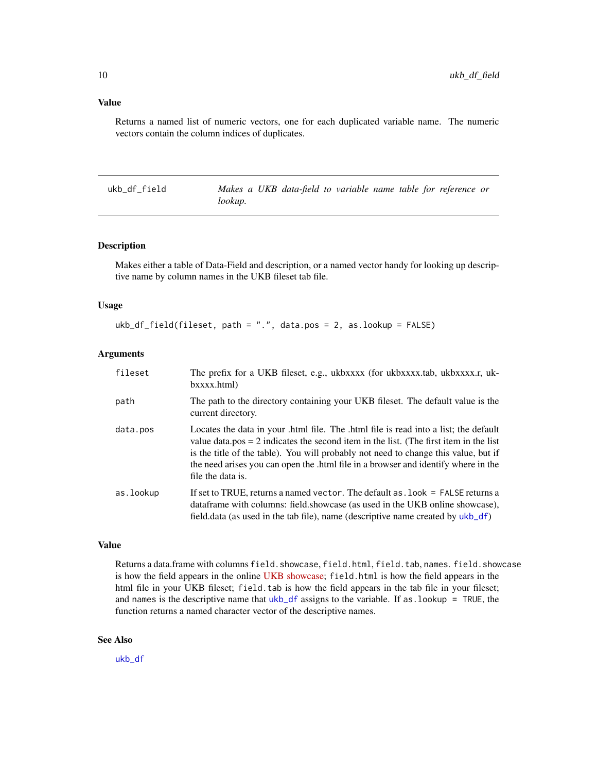#### <span id="page-9-0"></span>Value

Returns a named list of numeric vectors, one for each duplicated variable name. The numeric vectors contain the column indices of duplicates.

<span id="page-9-1"></span>ukb\_df\_field *Makes a UKB data-field to variable name table for reference or lookup.*

#### Description

Makes either a table of Data-Field and description, or a named vector handy for looking up descriptive name by column names in the UKB fileset tab file.

#### Usage

ukb\_df\_field(fileset, path = ".", data.pos = 2, as.lookup = FALSE)

# Arguments

| fileset   | The prefix for a UKB fileset, e.g., ukbxxxx (for ukbxxxx.tab, ukbxxxx.r, uk-<br>bxxxx.html)                                                                                                                                                                                                                                                                                       |
|-----------|-----------------------------------------------------------------------------------------------------------------------------------------------------------------------------------------------------------------------------------------------------------------------------------------------------------------------------------------------------------------------------------|
| path      | The path to the directory containing your UKB fileset. The default value is the<br>current directory.                                                                                                                                                                                                                                                                             |
| data.pos  | Locates the data in your .html file. The .html file is read into a list; the default<br>value data.pos $= 2$ indicates the second item in the list. (The first item in the list<br>is the title of the table). You will probably not need to change this value, but if<br>the need arises you can open the .html file in a browser and identify where in the<br>file the data is. |
| as.lookup | If set to TRUE, returns a named vector. The default as . look = FALSE returns a<br>data frame with columns: field showcase (as used in the UKB online showcase),<br>field data (as used in the tab file), name (descriptive name created by ukb_df)                                                                                                                               |

#### Value

Returns a data.frame with columns field. showcase, field.html, field.tab, names. field. showcase is how the field appears in the online [UKB showcase;](http://biobank.ctsu.ox.ac.uk/crystal/) field.html is how the field appears in the html file in your UKB fileset; field.tab is how the field appears in the tab file in your fileset; and names is the descriptive name that  $ukb_d$  df assigns to the variable. If as  $l$  lookup = TRUE, the function returns a named character vector of the descriptive names.

#### See Also

[ukb\\_df](#page-7-1)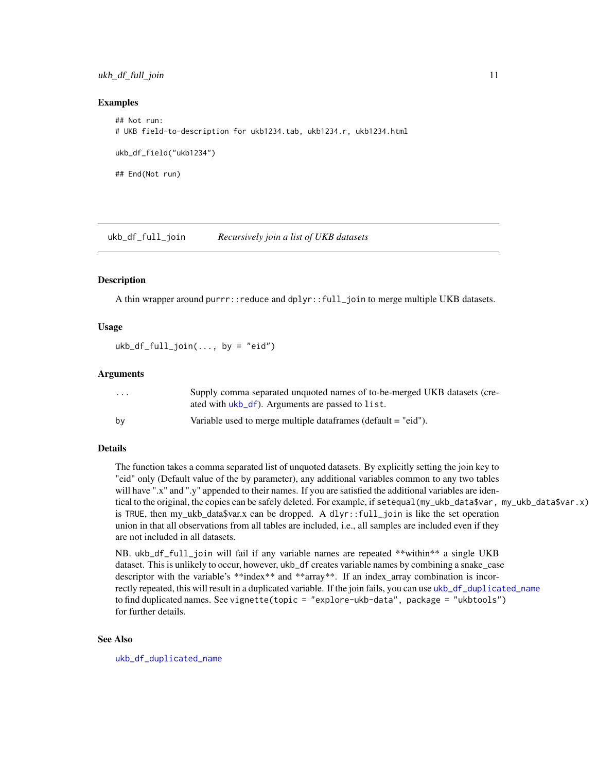#### <span id="page-10-0"></span>ukb\_df\_full\_join 11

#### Examples

```
## Not run:
# UKB field-to-description for ukb1234.tab, ukb1234.r, ukb1234.html
ukb_df_field("ukb1234")
## End(Not run)
```
<span id="page-10-1"></span>ukb\_df\_full\_join *Recursively join a list of UKB datasets*

#### Description

A thin wrapper around purrr::reduce and dplyr::full\_join to merge multiple UKB datasets.

# Usage

 $ukb_df_full_join(..., by = "eid")$ 

#### Arguments

| $\cdots$ | Supply comma separated unquoted names of to-be-merged UKB datasets (cre-   |
|----------|----------------------------------------------------------------------------|
|          | ated with ukb_df). Arguments are passed to list.                           |
| by       | Variable used to merge multiple data frames ( $\delta$ ) default = "eid"). |

#### Details

The function takes a comma separated list of unquoted datasets. By explicitly setting the join key to "eid" only (Default value of the by parameter), any additional variables common to any two tables will have ".x" and ".y" appended to their names. If you are satisfied the additional variables are identical to the original, the copies can be safely deleted. For example, if setequal(my\_ukb\_data\$var, my\_ukb\_data\$var.x) is TRUE, then my\_ukb\_data\$var.x can be dropped. A dlyr::full\_join is like the set operation union in that all observations from all tables are included, i.e., all samples are included even if they are not included in all datasets.

NB. ukb\_df\_full\_join will fail if any variable names are repeated \*\*within\*\* a single UKB dataset. This is unlikely to occur, however, ukb\_df creates variable names by combining a snake\_case descriptor with the variable's \*\*index\*\* and \*\*array\*\*. If an index\_array combination is incorrectly repeated, this will result in a duplicated variable. If the join fails, you can use [ukb\\_df\\_duplicated\\_name](#page-8-1) to find duplicated names. See vignette(topic = "explore-ukb-data", package = "ukbtools") for further details.

# See Also

[ukb\\_df\\_duplicated\\_name](#page-8-1)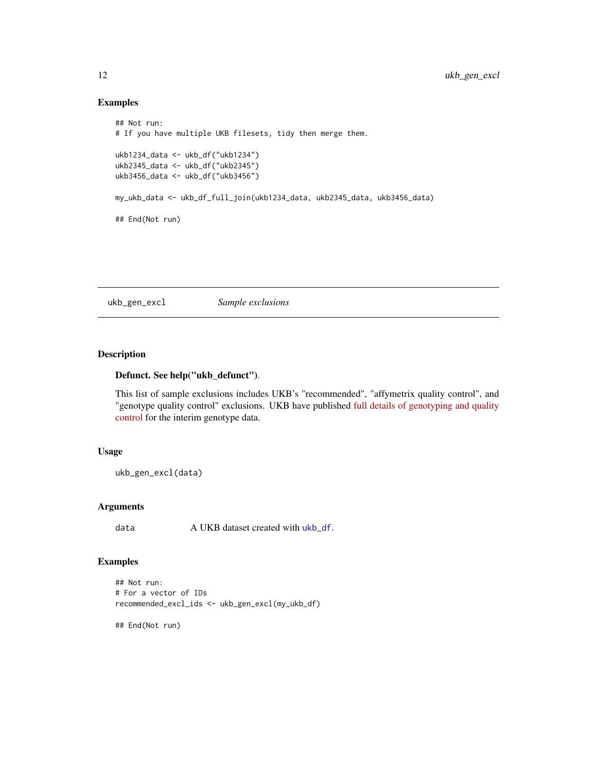# Examples

```
## Not run:
# If you have multiple UKB filesets, tidy then merge them.
ukb1234_data <- ukb_df("ukb1234")
ukb2345_data <- ukb_df("ukb2345")
ukb3456_data <- ukb_df("ukb3456")
my_ukb_data <- ukb_df_full_join(ukb1234_data, ukb2345_data, ukb3456_data)
## End(Not run)
```
ukb\_gen\_excl *Sample exclusions*

# Description

# Defunct. See help("ukb\_defunct").

This list of sample exclusions includes UKB's "recommended", "affymetrix quality control", and "genotype quality control" exclusions. UKB have published [full details of genotyping and quality](http://www.ukbiobank.ac.uk/wp-content/uploads/2014/04/UKBiobank_genotyping_QC_documentation-web.pdf) [control](http://www.ukbiobank.ac.uk/wp-content/uploads/2014/04/UKBiobank_genotyping_QC_documentation-web.pdf) for the interim genotype data.

# Usage

```
ukb_gen_excl(data)
```
# Arguments

data A UKB dataset created with [ukb\\_df](#page-7-1).

# Examples

```
## Not run:
# For a vector of IDs
recommended_excl_ids <- ukb_gen_excl(my_ukb_df)
```
## End(Not run)

<span id="page-11-0"></span>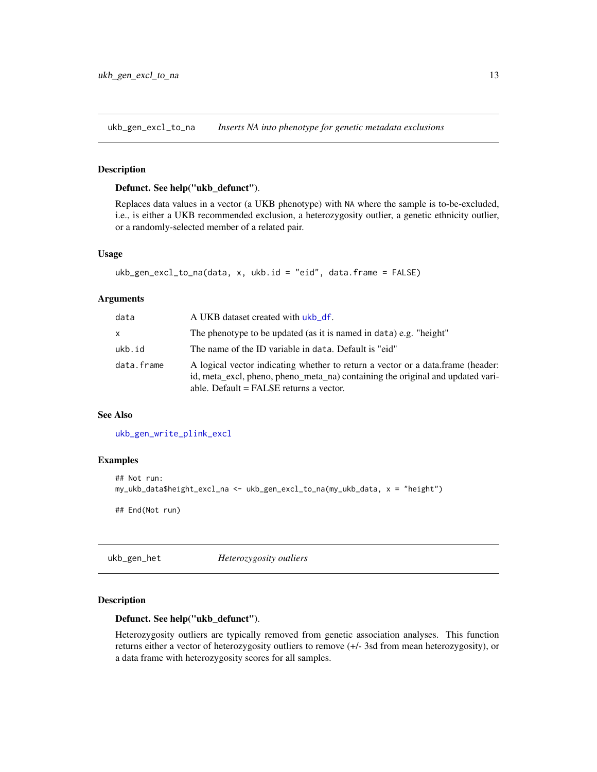<span id="page-12-1"></span><span id="page-12-0"></span>ukb\_gen\_excl\_to\_na *Inserts NA into phenotype for genetic metadata exclusions*

#### Description

# Defunct. See help("ukb\_defunct").

Replaces data values in a vector (a UKB phenotype) with NA where the sample is to-be-excluded, i.e., is either a UKB recommended exclusion, a heterozygosity outlier, a genetic ethnicity outlier, or a randomly-selected member of a related pair.

#### Usage

```
ukb_gen_excl_to_na(data, x, ukb.id = "eid", data.frame = FALSE)
```
#### Arguments

| data       | A UKB dataset created with ukb_df.                                                                                                                                                                             |
|------------|----------------------------------------------------------------------------------------------------------------------------------------------------------------------------------------------------------------|
| X          | The phenotype to be updated (as it is named in data) e.g. "height"                                                                                                                                             |
| ukb.id     | The name of the ID variable in data. Default is "eid"                                                                                                                                                          |
| data.frame | A logical vector indicating whether to return a vector or a data.frame (header:<br>id, meta_excl, pheno, pheno_meta_na) containing the original and updated vari-<br>able. Default $=$ FALSE returns a vector. |

# See Also

[ukb\\_gen\\_write\\_plink\\_excl](#page-22-2)

#### Examples

```
## Not run:
my_ukb_data$height_excl_na <- ukb_gen_excl_to_na(my_ukb_data, x = "height")
## End(Not run)
```
ukb\_gen\_het *Heterozygosity outliers*

# Description

#### Defunct. See help("ukb\_defunct").

Heterozygosity outliers are typically removed from genetic association analyses. This function returns either a vector of heterozygosity outliers to remove (+/- 3sd from mean heterozygosity), or a data frame with heterozygosity scores for all samples.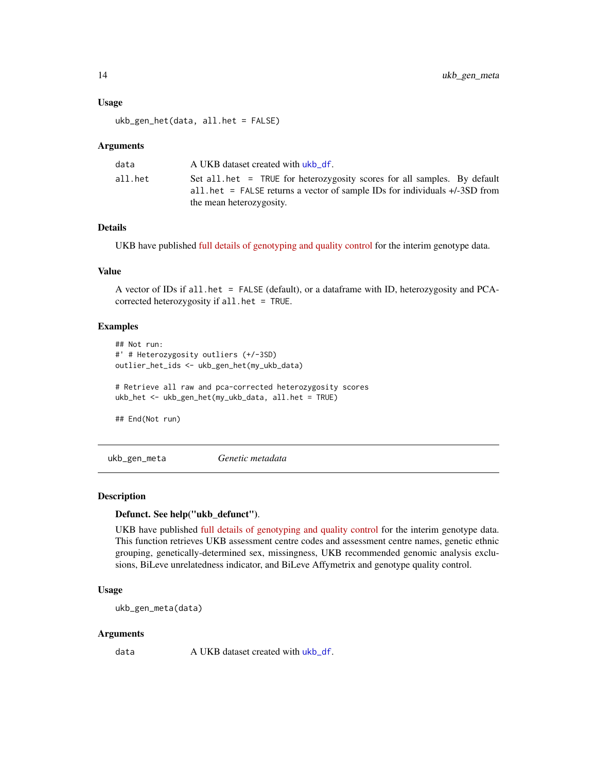#### <span id="page-13-0"></span>Usage

ukb\_gen\_het(data, all.het = FALSE)

#### Arguments

| data    | A UKB dataset created with ukb df.                                                                                                                                                   |
|---------|--------------------------------------------------------------------------------------------------------------------------------------------------------------------------------------|
| all.het | Set all het = TRUE for heterozygosity scores for all samples. By default<br>all het = FALSE returns a vector of sample IDs for individuals $+/-3SD$ from<br>the mean heterozygosity. |

#### Details

UKB have published [full details of genotyping and quality control](http://www.ukbiobank.ac.uk/wp-content/uploads/2014/04/UKBiobank_genotyping_QC_documentation-web.pdf) for the interim genotype data.

# Value

A vector of IDs if all.het = FALSE (default), or a dataframe with ID, heterozygosity and PCAcorrected heterozygosity if all.het = TRUE.

# Examples

```
## Not run:
#' # Heterozygosity outliers (+/-3SD)
outlier_het_ids <- ukb_gen_het(my_ukb_data)
# Retrieve all raw and pca-corrected heterozygosity scores
ukb_het <- ukb_gen_het(my_ukb_data, all.het = TRUE)
## End(Not run)
```
<span id="page-13-1"></span>ukb\_gen\_meta *Genetic metadata*

#### Description

#### Defunct. See help("ukb\_defunct").

UKB have published [full details of genotyping and quality control](http://www.ukbiobank.ac.uk/wp-content/uploads/2014/04/UKBiobank_genotyping_QC_documentation-web.pdf) for the interim genotype data. This function retrieves UKB assessment centre codes and assessment centre names, genetic ethnic grouping, genetically-determined sex, missingness, UKB recommended genomic analysis exclusions, BiLeve unrelatedness indicator, and BiLeve Affymetrix and genotype quality control.

#### Usage

ukb\_gen\_meta(data)

#### Arguments

data A UKB dataset created with [ukb\\_df](#page-7-1).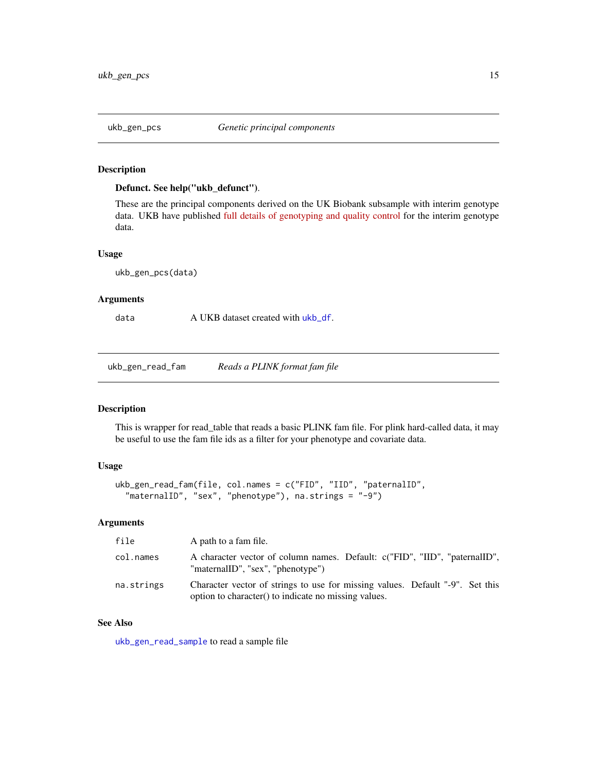<span id="page-14-2"></span><span id="page-14-0"></span>

# Defunct. See help("ukb\_defunct").

These are the principal components derived on the UK Biobank subsample with interim genotype data. UKB have published [full details of genotyping and quality control](http://www.ukbiobank.ac.uk/wp-content/uploads/2014/04/UKBiobank_genotyping_QC_documentation-web.pdf) for the interim genotype data.

#### Usage

ukb\_gen\_pcs(data)

# Arguments

data A UKB dataset created with [ukb\\_df](#page-7-1).

<span id="page-14-1"></span>ukb\_gen\_read\_fam *Reads a PLINK format fam file*

# Description

This is wrapper for read\_table that reads a basic PLINK fam file. For plink hard-called data, it may be useful to use the fam file ids as a filter for your phenotype and covariate data.

#### Usage

```
ukb_gen_read_fam(file, col.names = c("FID", "IID", "paternalID",
  "maternalID", "sex", "phenotype"), na.strings = "-9")
```
#### Arguments

| file       | A path to a fam file.                                                                                                                 |
|------------|---------------------------------------------------------------------------------------------------------------------------------------|
| col.names  | A character vector of column names. Default: c("FID", "IID", "paternalID",<br>"maternalID", "sex", "phenotype")                       |
| na.strings | Character vector of strings to use for missing values. Default "-9". Set this<br>option to character() to indicate no missing values. |

# See Also

[ukb\\_gen\\_read\\_sample](#page-15-1) to read a sample file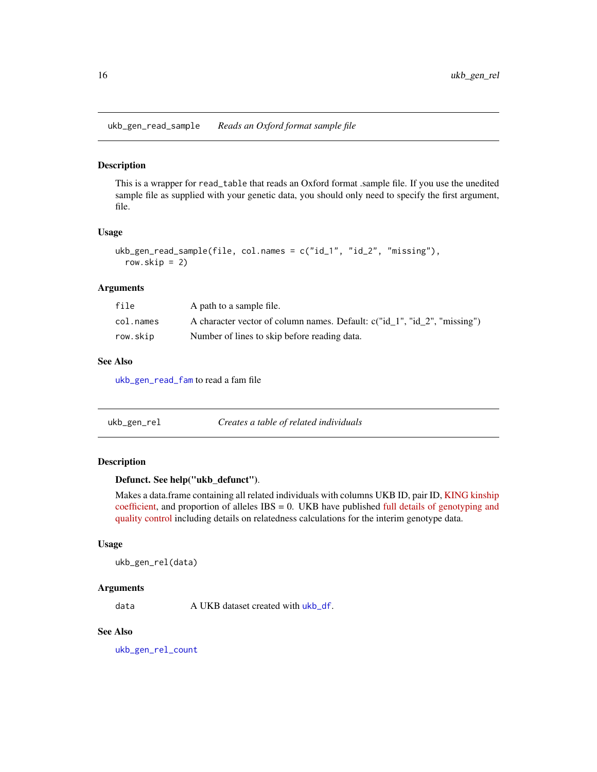<span id="page-15-1"></span><span id="page-15-0"></span>ukb\_gen\_read\_sample *Reads an Oxford format sample file*

#### Description

This is a wrapper for read\_table that reads an Oxford format .sample file. If you use the unedited sample file as supplied with your genetic data, you should only need to specify the first argument, file.

#### Usage

```
ukb_gen_read_sample(file, col.names = c("id_1", "id_2", "missing"),
  row.skip = 2)
```
#### Arguments

| file      | A path to a sample file.                                                  |
|-----------|---------------------------------------------------------------------------|
| col.names | A character vector of column names. Default: c("id 1", "id 2", "missing") |
| row.skip  | Number of lines to skip before reading data.                              |

# See Also

[ukb\\_gen\\_read\\_fam](#page-14-1) to read a fam file

| Creates a table of related individuals<br>ukb_gen_rel |  |
|-------------------------------------------------------|--|
|-------------------------------------------------------|--|

# Description

# Defunct. See help("ukb\_defunct").

Makes a data.frame containing all related individuals with columns UKB ID, pair ID, [KING kinship](http://people.virginia.edu/~wc9c/KING/manual.html) [coefficient,](http://people.virginia.edu/~wc9c/KING/manual.html) and proportion of alleles IBS = 0. UKB have published [full details of genotyping and](http://www.ukbiobank.ac.uk/wp-content/uploads/2014/04/UKBiobank_genotyping_QC_documentation-web.pdf) [quality control](http://www.ukbiobank.ac.uk/wp-content/uploads/2014/04/UKBiobank_genotyping_QC_documentation-web.pdf) including details on relatedness calculations for the interim genotype data.

#### Usage

```
ukb_gen_rel(data)
```
#### Arguments

data A UKB dataset created with [ukb\\_df](#page-7-1).

# See Also

[ukb\\_gen\\_rel\\_count](#page-16-1)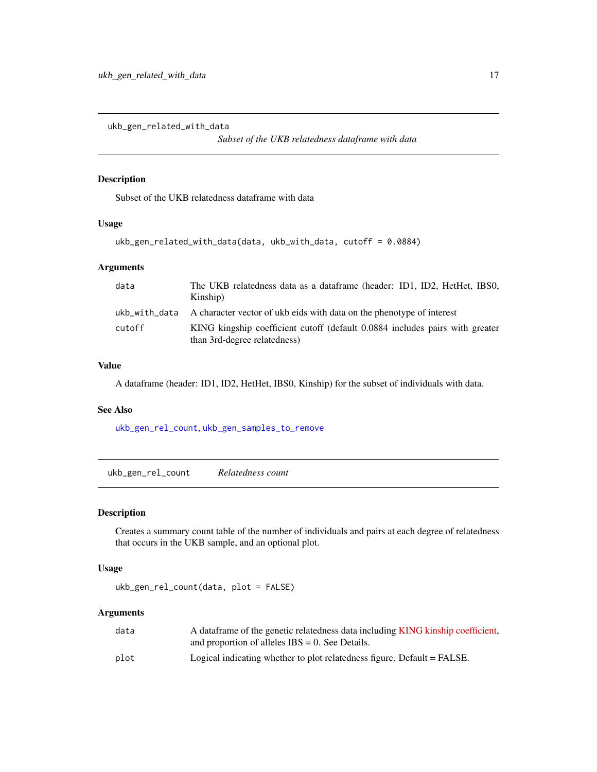<span id="page-16-2"></span><span id="page-16-0"></span>ukb\_gen\_related\_with\_data

*Subset of the UKB relatedness dataframe with data*

# Description

Subset of the UKB relatedness dataframe with data

#### Usage

```
ukb_gen_related_with_data(data, ukb_with_data, cutoff = 0.0884)
```
# Arguments

| data   | The UKB relatedness data as a dataframe (header: ID1, ID2, HetHet, IBS0,<br>Kinship)                         |
|--------|--------------------------------------------------------------------------------------------------------------|
|        | ukb with data A character vector of ukb eids with data on the phenotype of interest                          |
| cutoff | KING kingship coefficient cutoff (default 0.0884 includes pairs with greater<br>than 3rd-degree relatedness) |

# Value

A dataframe (header: ID1, ID2, HetHet, IBS0, Kinship) for the subset of individuals with data.

# See Also

[ukb\\_gen\\_rel\\_count](#page-16-1), [ukb\\_gen\\_samples\\_to\\_remove](#page-17-1)

<span id="page-16-1"></span>ukb\_gen\_rel\_count *Relatedness count*

# Description

Creates a summary count table of the number of individuals and pairs at each degree of relatedness that occurs in the UKB sample, and an optional plot.

#### Usage

```
ukb_gen_rel_count(data, plot = FALSE)
```
# Arguments

| data | A data frame of the genetic relatedness data including KING kinship coefficient, |
|------|----------------------------------------------------------------------------------|
|      | and proportion of alleles $IBS = 0$ . See Details.                               |
| plot | Logical indicating whether to plot relatedness figure. Default = FALSE.          |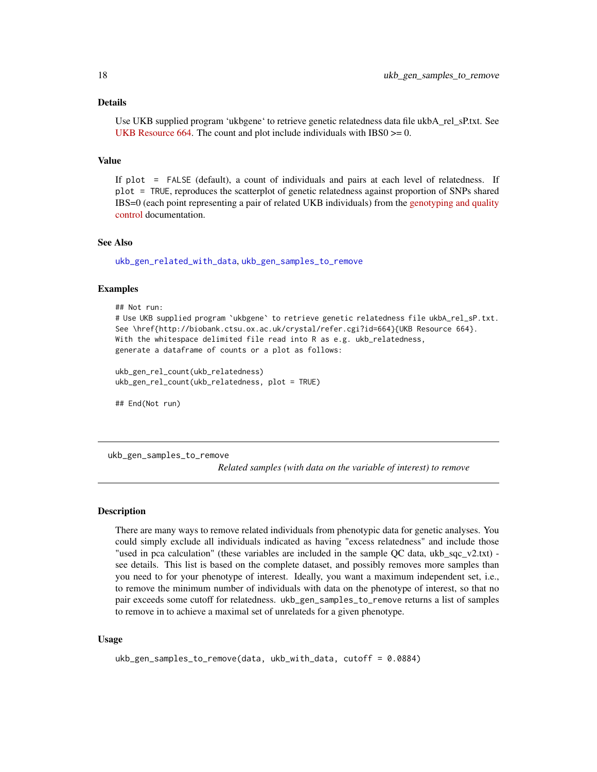#### <span id="page-17-0"></span>Details

Use UKB supplied program 'ukbgene' to retrieve genetic relatedness data file ukbA\_rel\_sP.txt. See [UKB Resource 664.](http://biobank.ctsu.ox.ac.uk/crystal/refer.cgi?id=664) The count and plot include individuals with  $IBS0 \ge 0$ .

# Value

If plot = FALSE (default), a count of individuals and pairs at each level of relatedness. If plot = TRUE, reproduces the scatterplot of genetic relatedness against proportion of SNPs shared IBS=0 (each point representing a pair of related UKB individuals) from the [genotyping and quality](http://www.ukbiobank.ac.uk/wp-content/uploads/2014/04/UKBiobank_genotyping_QC_documentation-web.pdf) [control](http://www.ukbiobank.ac.uk/wp-content/uploads/2014/04/UKBiobank_genotyping_QC_documentation-web.pdf) documentation.

#### See Also

[ukb\\_gen\\_related\\_with\\_data](#page-16-2), [ukb\\_gen\\_samples\\_to\\_remove](#page-17-1)

#### Examples

```
## Not run:
# Use UKB supplied program `ukbgene` to retrieve genetic relatedness file ukbA_rel_sP.txt.
See \href{http://biobank.ctsu.ox.ac.uk/crystal/refer.cgi?id=664}{UKB Resource 664}.
With the whitespace delimited file read into R as e.g. ukb_relatedness,
generate a dataframe of counts or a plot as follows:
```

```
ukb_gen_rel_count(ukb_relatedness)
ukb_gen_rel_count(ukb_relatedness, plot = TRUE)
```
## End(Not run)

<span id="page-17-1"></span>ukb\_gen\_samples\_to\_remove

*Related samples (with data on the variable of interest) to remove*

# Description

There are many ways to remove related individuals from phenotypic data for genetic analyses. You could simply exclude all individuals indicated as having "excess relatedness" and include those "used in pca calculation" (these variables are included in the sample QC data, ukb sqc  $v2.txt$ ) see details. This list is based on the complete dataset, and possibly removes more samples than you need to for your phenotype of interest. Ideally, you want a maximum independent set, i.e., to remove the minimum number of individuals with data on the phenotype of interest, so that no pair exceeds some cutoff for relatedness. ukb\_gen\_samples\_to\_remove returns a list of samples to remove in to achieve a maximal set of unrelateds for a given phenotype.

#### Usage

```
ukb_gen_samples_to_remove(data, ukb_with_data, cutoff = 0.0884)
```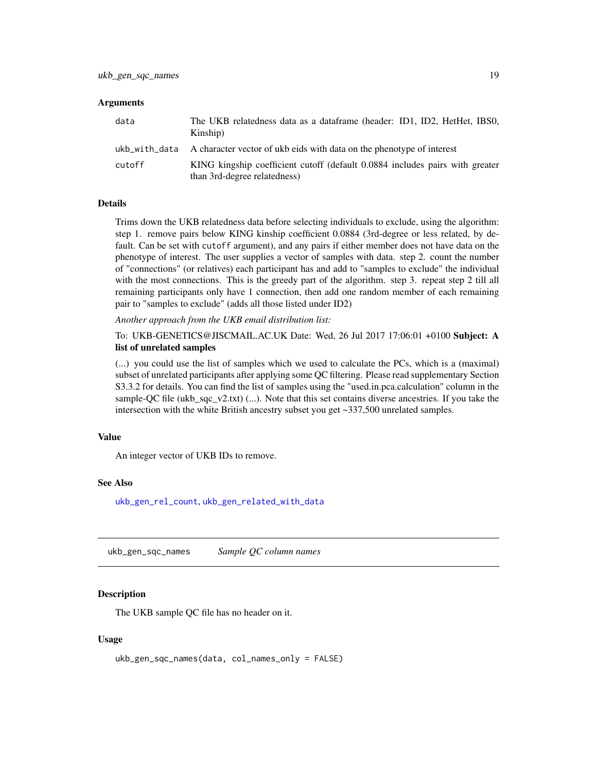#### <span id="page-18-0"></span>**Arguments**

| data   | The UKB relatedness data as a dataframe (header: ID1, ID2, HetHet, IBS0,<br>Kinship)                         |
|--------|--------------------------------------------------------------------------------------------------------------|
|        | ukb with data A character vector of ukb eids with data on the phenotype of interest                          |
| cutoff | KING kingship coefficient cutoff (default 0.0884 includes pairs with greater<br>than 3rd-degree relatedness) |

# Details

Trims down the UKB relatedness data before selecting individuals to exclude, using the algorithm: step 1. remove pairs below KING kinship coefficient 0.0884 (3rd-degree or less related, by default. Can be set with cutoff argument), and any pairs if either member does not have data on the phenotype of interest. The user supplies a vector of samples with data. step 2. count the number of "connections" (or relatives) each participant has and add to "samples to exclude" the individual with the most connections. This is the greedy part of the algorithm. step 3. repeat step 2 till all remaining participants only have 1 connection, then add one random member of each remaining pair to "samples to exclude" (adds all those listed under ID2)

*Another approach from the UKB email distribution list:*

To: UKB-GENETICS@JISCMAIL.AC.UK Date: Wed, 26 Jul 2017 17:06:01 +0100 Subject: A list of unrelated samples

(...) you could use the list of samples which we used to calculate the PCs, which is a (maximal) subset of unrelated participants after applying some QC filtering. Please read supplementary Section S3.3.2 for details. You can find the list of samples using the "used.in.pca.calculation" column in the sample-QC file (ukb sqc  $v2.txt$ ) (...). Note that this set contains diverse ancestries. If you take the intersection with the white British ancestry subset you get ~337,500 unrelated samples.

# Value

An integer vector of UKB IDs to remove.

#### See Also

[ukb\\_gen\\_rel\\_count](#page-16-1), [ukb\\_gen\\_related\\_with\\_data](#page-16-2)

<span id="page-18-1"></span>ukb\_gen\_sqc\_names *Sample QC column names*

#### Description

The UKB sample QC file has no header on it.

#### Usage

```
ukb_gen_sqc_names(data, col_names_only = FALSE)
```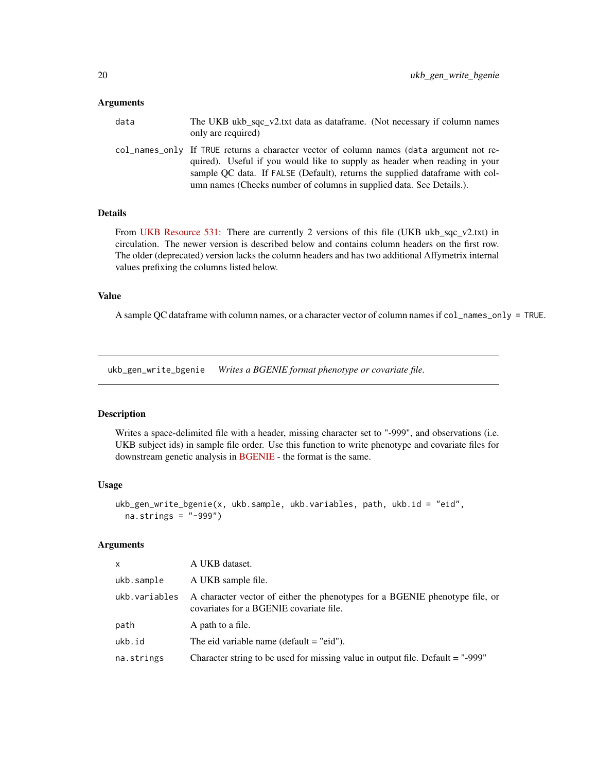#### <span id="page-19-0"></span>**Arguments**

| data | The UKB ukb sqc v2.txt data as dataframe. (Not necessary if column names<br>only are required)                                                                                                                                                                                                                                  |
|------|---------------------------------------------------------------------------------------------------------------------------------------------------------------------------------------------------------------------------------------------------------------------------------------------------------------------------------|
|      | col_names_only If TRUE returns a character vector of column names (data argument not re-<br>quired). Useful if you would like to supply as header when reading in your<br>sample OC data. If FALSE (Default), returns the supplied data frame with col-<br>umn names (Checks number of columns in supplied data. See Details.). |

#### Details

From [UKB Resource 531:](https://biobank.ctsu.ox.ac.uk/crystal/refer.cgi?id=531) There are currently 2 versions of this file (UKB ukb\_sqc\_v2.txt) in circulation. The newer version is described below and contains column headers on the first row. The older (deprecated) version lacks the column headers and has two additional Affymetrix internal values prefixing the columns listed below.

# Value

A sample QC dataframe with column names, or a character vector of column names if col\_names\_only = TRUE.

<span id="page-19-1"></span>ukb\_gen\_write\_bgenie *Writes a BGENIE format phenotype or covariate file.*

#### Description

Writes a space-delimited file with a header, missing character set to "-999", and observations (i.e. UKB subject ids) in sample file order. Use this function to write phenotype and covariate files for downstream genetic analysis in [BGENIE](https://jmarchini.org/bgenie/) - the format is the same.

#### Usage

```
ukb_gen_write_bgenie(x, ukb.sample, ukb.variables, path, ukb.id = "eid",
 na.strings = "-999")
```
# Arguments

| $\mathsf{x}$  | A UKB dataset.                                                                                                         |
|---------------|------------------------------------------------------------------------------------------------------------------------|
| ukb.sample    | A UKB sample file.                                                                                                     |
| ukb.variables | A character vector of either the phenotypes for a BGENIE phenotype file, or<br>covariates for a BGENIE covariate file. |
| path          | A path to a file.                                                                                                      |
| ukb.id        | The eid variable name (default $=$ "eid").                                                                             |
| na.strings    | Character string to be used for missing value in output file. Default = "-999"                                         |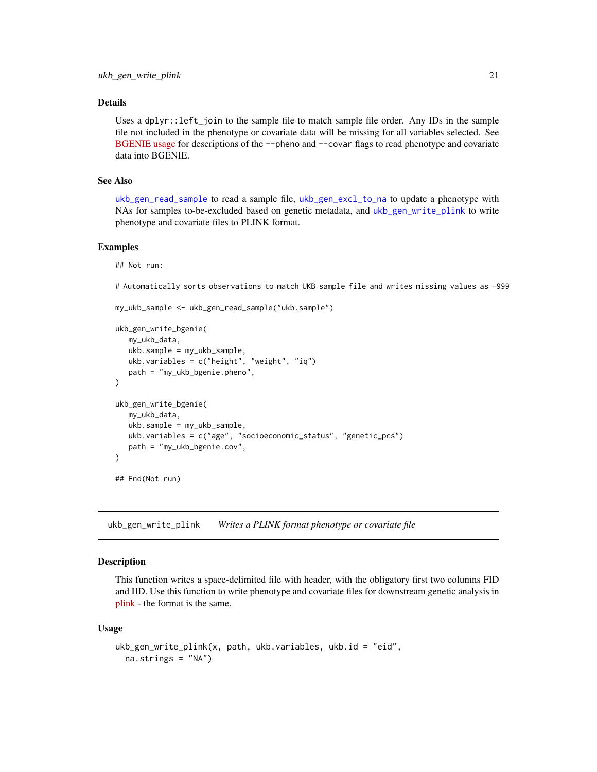# <span id="page-20-0"></span>Details

Uses a dplyr::left\_join to the sample file to match sample file order. Any IDs in the sample file not included in the phenotype or covariate data will be missing for all variables selected. See [BGENIE usage](https://jmarchini.org/bgenie-usage/) for descriptions of the --pheno and --covar flags to read phenotype and covariate data into BGENIE.

#### See Also

[ukb\\_gen\\_read\\_sample](#page-15-1) to read a sample file, [ukb\\_gen\\_excl\\_to\\_na](#page-12-1) to update a phenotype with NAs for samples to-be-excluded based on genetic metadata, and [ukb\\_gen\\_write\\_plink](#page-20-1) to write phenotype and covariate files to PLINK format.

#### Examples

```
## Not run:
```
# Automatically sorts observations to match UKB sample file and writes missing values as -999

```
my_ukb_sample <- ukb_gen_read_sample("ukb.sample")
```

```
ukb_gen_write_bgenie(
   my_ukb_data,
   ukb.sample = my_ukb_sample,
   ukb.variables = c("height", "weight", "iq")
   path = "my_ukb_bgenie.pheno",
)
ukb_gen_write_bgenie(
   my_ukb_data,
   ukb.sample = my_ukb_sample,
   ukb.variables = c("age", "socioeconomic_status", "genetic_pcs")
   path = "my_ukb_bgenie.cov",
\mathcal{L}## End(Not run)
```
<span id="page-20-1"></span>ukb\_gen\_write\_plink *Writes a PLINK format phenotype or covariate file*

# Description

This function writes a space-delimited file with header, with the obligatory first two columns FID and IID. Use this function to write phenotype and covariate files for downstream genetic analysis in [plink](https://www.cog-genomics.org/plink2) - the format is the same.

#### Usage

```
ukb_gen_write_plink(x, path, ukb.variables, ukb.id = "eid",
 na.strings = "NA")
```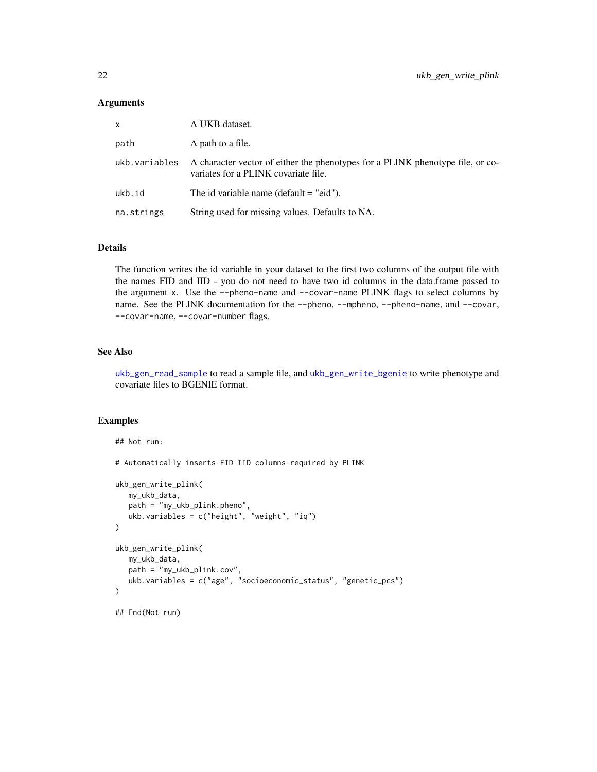#### <span id="page-21-0"></span>Arguments

| X.            | A UKB dataset.                                                                                                         |
|---------------|------------------------------------------------------------------------------------------------------------------------|
| path          | A path to a file.                                                                                                      |
| ukb.variables | A character vector of either the phenotypes for a PLINK phenotype file, or co-<br>variates for a PLINK covariate file. |
| ukb.id        | The id variable name (default $=$ "eid").                                                                              |
| na.strings    | String used for missing values. Defaults to NA.                                                                        |

# Details

The function writes the id variable in your dataset to the first two columns of the output file with the names FID and IID - you do not need to have two id columns in the data.frame passed to the argument x. Use the --pheno-name and --covar-name PLINK flags to select columns by name. See the PLINK documentation for the --pheno, --mpheno, --pheno-name, and --covar, --covar-name, --covar-number flags.

# See Also

[ukb\\_gen\\_read\\_sample](#page-15-1) to read a sample file, and [ukb\\_gen\\_write\\_bgenie](#page-19-1) to write phenotype and covariate files to BGENIE format.

# Examples

## Not run:

```
# Automatically inserts FID IID columns required by PLINK
ukb_gen_write_plink(
   my_ukb_data,
   path = "my_ukb_plink.pheno",
   ukb.variables = c("height", "weight", "iq")
\mathcal{L}ukb_gen_write_plink(
   my_ukb_data,
   path = "my_ukb_plink.cov",
   ukb.variables = c("age", "socioeconomic_status", "genetic_pcs")
\lambda## End(Not run)
```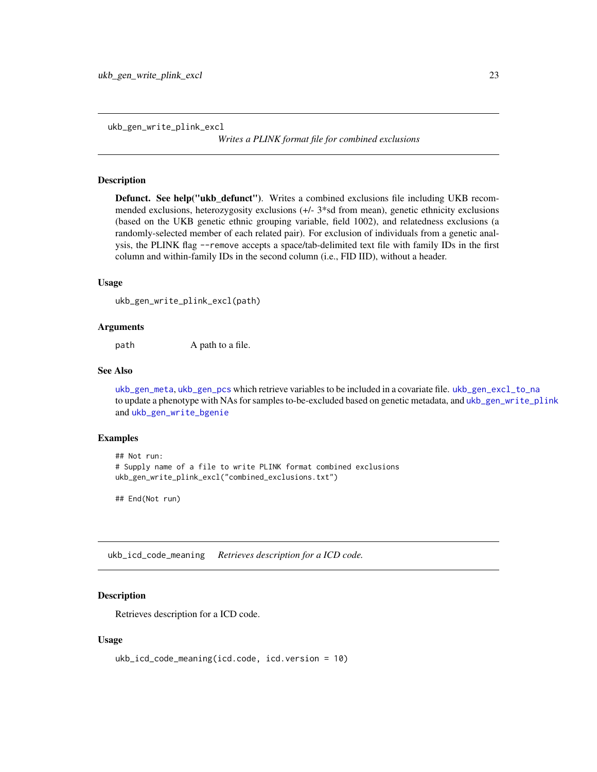<span id="page-22-2"></span><span id="page-22-0"></span>ukb\_gen\_write\_plink\_excl

*Writes a PLINK format file for combined exclusions*

#### Description

Defunct. See help("ukb\_defunct"). Writes a combined exclusions file including UKB recommended exclusions, heterozygosity exclusions (+/- 3\*sd from mean), genetic ethnicity exclusions (based on the UKB genetic ethnic grouping variable, field 1002), and relatedness exclusions (a randomly-selected member of each related pair). For exclusion of individuals from a genetic analysis, the PLINK flag --remove accepts a space/tab-delimited text file with family IDs in the first column and within-family IDs in the second column (i.e., FID IID), without a header.

#### Usage

ukb\_gen\_write\_plink\_excl(path)

#### Arguments

path A path to a file.

# See Also

[ukb\\_gen\\_meta](#page-13-1), [ukb\\_gen\\_pcs](#page-14-2) which retrieve variables to be included in a covariate file. [ukb\\_gen\\_excl\\_to\\_na](#page-12-1) to update a phenotype with NAs for samples to-be-excluded based on genetic metadata, and [ukb\\_gen\\_write\\_plink](#page-20-1) and [ukb\\_gen\\_write\\_bgenie](#page-19-1)

#### Examples

```
## Not run:
# Supply name of a file to write PLINK format combined exclusions
ukb_gen_write_plink_excl("combined_exclusions.txt")
```
## End(Not run)

<span id="page-22-1"></span>ukb\_icd\_code\_meaning *Retrieves description for a ICD code.*

#### Description

Retrieves description for a ICD code.

#### Usage

```
ukb_icd_code_meaning(icd.code, icd.version = 10)
```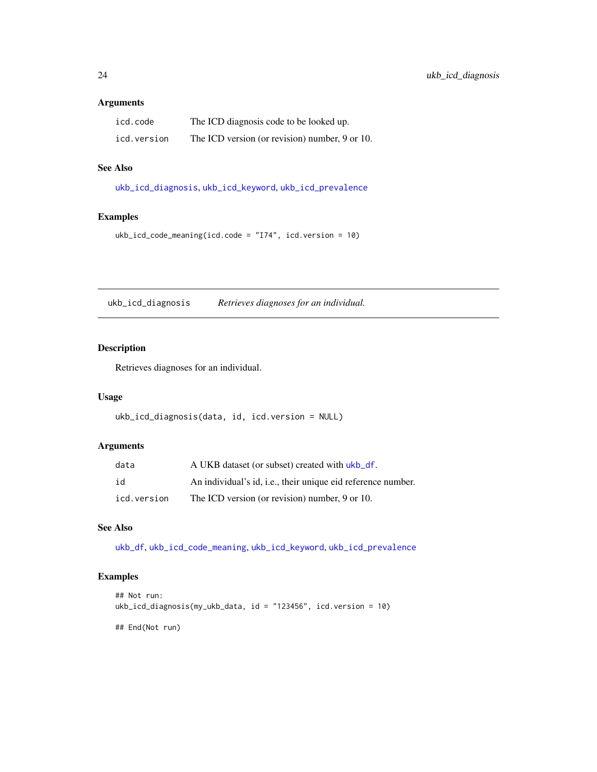# <span id="page-23-0"></span>Arguments

| icd.code    | The ICD diagnosis code to be looked up.        |
|-------------|------------------------------------------------|
| icd.version | The ICD version (or revision) number, 9 or 10. |

# See Also

[ukb\\_icd\\_diagnosis](#page-23-1), [ukb\\_icd\\_keyword](#page-25-1), [ukb\\_icd\\_prevalence](#page-25-2)

### Examples

ukb\_icd\_code\_meaning(icd.code = "I74", icd.version = 10)

<span id="page-23-1"></span>ukb\_icd\_diagnosis *Retrieves diagnoses for an individual.*

# Description

Retrieves diagnoses for an individual.

# Usage

```
ukb_icd_diagnosis(data, id, icd.version = NULL)
```
# Arguments

| data        | A UKB dataset (or subset) created with ukb_df.               |
|-------------|--------------------------------------------------------------|
| id          | An individual's id, i.e., their unique eid reference number. |
| icd.version | The ICD version (or revision) number, 9 or 10.               |

#### See Also

[ukb\\_df](#page-7-1), [ukb\\_icd\\_code\\_meaning](#page-22-1), [ukb\\_icd\\_keyword](#page-25-1), [ukb\\_icd\\_prevalence](#page-25-2)

# Examples

```
## Not run:
ukb_icd_diagnosis(my_ukb_data, id = "123456", icd.version = 10)
```
## End(Not run)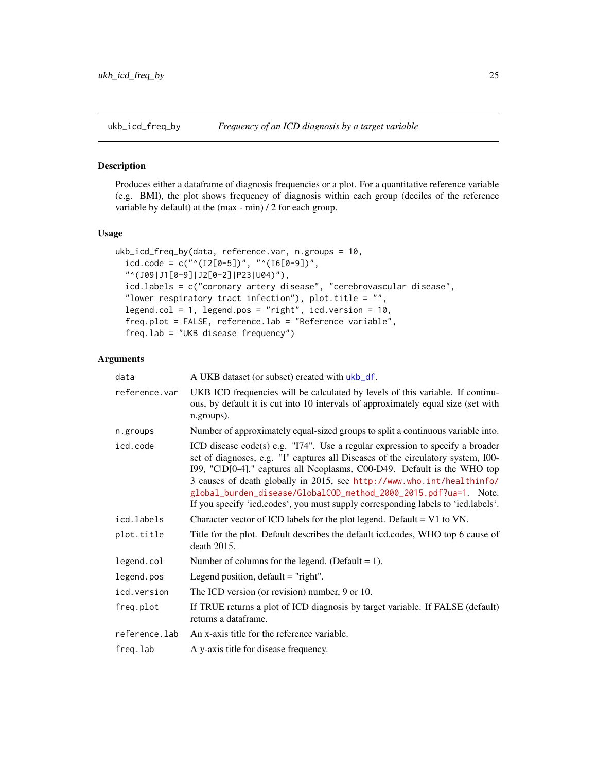<span id="page-24-1"></span><span id="page-24-0"></span>

Produces either a dataframe of diagnosis frequencies or a plot. For a quantitative reference variable (e.g. BMI), the plot shows frequency of diagnosis within each group (deciles of the reference variable by default) at the (max - min) / 2 for each group.

#### Usage

```
ukb_icd_freq_by(data, reference.var, n.groups = 10,
  icd.code = c("^(I2[0-5])", "^(I6[0-9])","^(J09|J1[0-9]|J2[0-2]|P23|U04)"),
  icd.labels = c("coronary artery disease", "cerebrovascular disease",
  "lower respiratory tract infection"), plot.title = ",
  legend.col = 1, legend.pos = "right", icd.version = 10,
  freq.plot = FALSE, reference.lab = "Reference variable",
  freq.lab = "UKB disease frequency")
```
# Arguments

| data          | A UKB dataset (or subset) created with ukb_df.                                                                                                                                                                                                                                                                                                                                                                                                                                   |
|---------------|----------------------------------------------------------------------------------------------------------------------------------------------------------------------------------------------------------------------------------------------------------------------------------------------------------------------------------------------------------------------------------------------------------------------------------------------------------------------------------|
| reference.var | UKB ICD frequencies will be calculated by levels of this variable. If continu-<br>ous, by default it is cut into 10 intervals of approximately equal size (set with<br>n.groups).                                                                                                                                                                                                                                                                                                |
| n.groups      | Number of approximately equal-sized groups to split a continuous variable into.                                                                                                                                                                                                                                                                                                                                                                                                  |
| icd.code      | ICD disease code(s) e.g. "I74". Use a regular expression to specify a broader<br>set of diagnoses, e.g. "I" captures all Diseases of the circulatory system, I00-<br>199, "ClD[0-4]." captures all Neoplasms, C00-D49. Default is the WHO top<br>3 causes of death globally in 2015, see http://www.who.int/healthinfo/<br>global_burden_disease/GlobalCOD_method_2000_2015.pdf?ua=1. Note.<br>If you specify 'icd.codes', you must supply corresponding labels to 'icd.labels'. |
| icd.labels    | Character vector of ICD labels for the plot legend. Default $= V1$ to VN.                                                                                                                                                                                                                                                                                                                                                                                                        |
| plot.title    | Title for the plot. Default describes the default icd.codes, WHO top 6 cause of<br>death 2015.                                                                                                                                                                                                                                                                                                                                                                                   |
| legend.col    | Number of columns for the legend. (Default = 1).                                                                                                                                                                                                                                                                                                                                                                                                                                 |
| legend.pos    | Legend position, $default = "right".$                                                                                                                                                                                                                                                                                                                                                                                                                                            |
| icd.version   | The ICD version (or revision) number, 9 or 10.                                                                                                                                                                                                                                                                                                                                                                                                                                   |
| freq.plot     | If TRUE returns a plot of ICD diagnosis by target variable. If FALSE (default)<br>returns a dataframe.                                                                                                                                                                                                                                                                                                                                                                           |
| reference.lab | An x-axis title for the reference variable.                                                                                                                                                                                                                                                                                                                                                                                                                                      |
| freq.lab      | A y-axis title for disease frequency.                                                                                                                                                                                                                                                                                                                                                                                                                                            |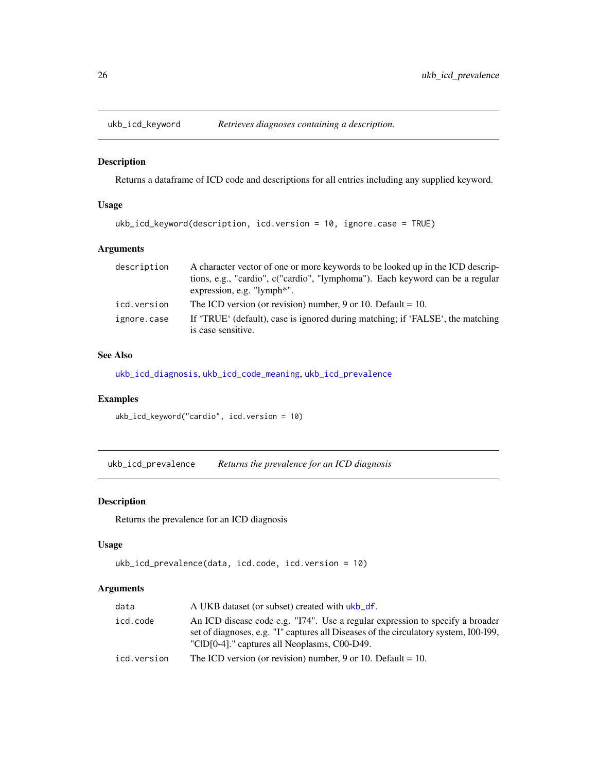<span id="page-25-1"></span><span id="page-25-0"></span>

Returns a dataframe of ICD code and descriptions for all entries including any supplied keyword.

# Usage

```
ukb_icd_keyword(description, icd.version = 10, ignore.case = TRUE)
```
# Arguments

| description | A character vector of one or more keywords to be looked up in the ICD descrip- |
|-------------|--------------------------------------------------------------------------------|
|             | tions, e.g., "cardio", c("cardio", "lymphoma"). Each keyword can be a regular  |
|             | expression, e.g. $"lymph*".$                                                   |
| icd.version | The ICD version (or revision) number, 9 or 10. Default = 10.                   |
| ignore.case | If 'TRUE' (default), case is ignored during matching; if 'FALSE', the matching |
|             | is case sensitive.                                                             |

# See Also

[ukb\\_icd\\_diagnosis](#page-23-1), [ukb\\_icd\\_code\\_meaning](#page-22-1), [ukb\\_icd\\_prevalence](#page-25-2)

# Examples

```
ukb_icd_keyword("cardio", icd.version = 10)
```
<span id="page-25-2"></span>ukb\_icd\_prevalence *Returns the prevalence for an ICD diagnosis*

#### Description

Returns the prevalence for an ICD diagnosis

#### Usage

```
ukb_icd_prevalence(data, icd.code, icd.version = 10)
```
#### Arguments

| data        | A UKB dataset (or subset) created with ukb_df.                                                                                                                                                                        |
|-------------|-----------------------------------------------------------------------------------------------------------------------------------------------------------------------------------------------------------------------|
| icd.code    | An ICD disease code e.g. "I74". Use a regular expression to specify a broader<br>set of diagnoses, e.g. "I" captures all Diseases of the circulatory system, 100-199,<br>"CID[0-4]." captures all Neoplasms, C00-D49. |
| icd.version | The ICD version (or revision) number, 9 or 10. Default = 10.                                                                                                                                                          |
|             |                                                                                                                                                                                                                       |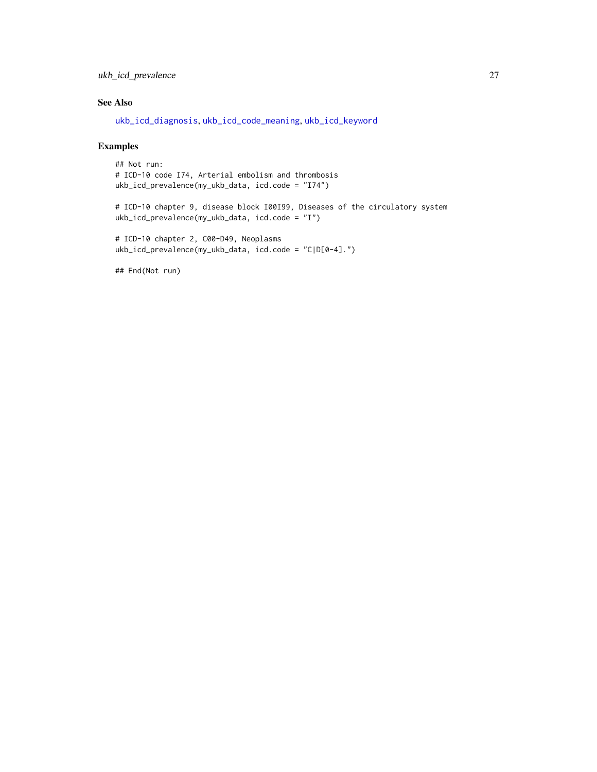# <span id="page-26-0"></span>ukb\_icd\_prevalence 27

# See Also

[ukb\\_icd\\_diagnosis](#page-23-1), [ukb\\_icd\\_code\\_meaning](#page-22-1), [ukb\\_icd\\_keyword](#page-25-1)

# Examples

## Not run: # ICD-10 code I74, Arterial embolism and thrombosis ukb\_icd\_prevalence(my\_ukb\_data, icd.code = "I74")

# ICD-10 chapter 9, disease block I00I99, Diseases of the circulatory system ukb\_icd\_prevalence(my\_ukb\_data, icd.code = "I")

```
# ICD-10 chapter 2, C00-D49, Neoplasms
ukb_icd_prevalence(my_ukb_data, icd.code = "C|D[0-4].")
```
## End(Not run)